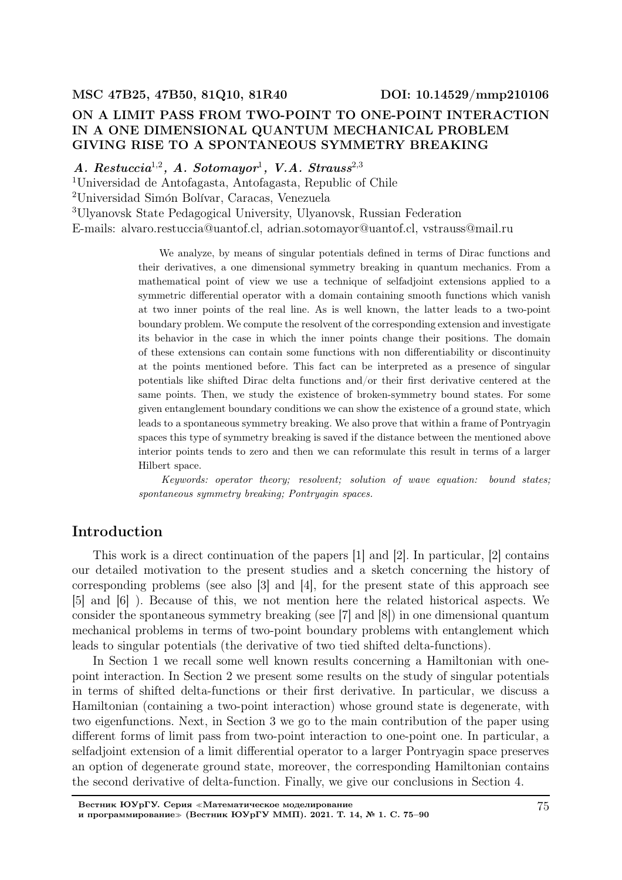# ON A LIMIT PASS FROM TWO-POINT TO ONE-POINT INTERACTION IN A ONE DIMENSIONAL QUANTUM MECHANICAL PROBLEM GIVING RISE TO A SPONTANEOUS SYMMETRY BREAKING

 $A. \ Restuccia^{1,2}, \ A. \ Sotromayor^1, \ V.A. \ Strauss^{2,3}$ 

<sup>1</sup>Universidad de Antofagasta, Antofagasta, Republic of Chile

<sup>2</sup>Universidad Simón Bolívar, Caracas, Venezuela

<sup>3</sup>Ulyanovsk State Pedagogical University, Ulyanovsk, Russian Federation E-mails: alvaro.restuccia@uantof.cl, adrian.sotomayor@uantof.cl, vstrauss@mail.ru

> We analyze, by means of singular potentials defined in terms of Dirac functions and their derivatives, a one dimensional symmetry breaking in quantum mechanics. From a mathematical point of view we use a technique of selfadjoint extensions applied to a symmetric differential operator with a domain containing smooth functions which vanish at two inner points of the real line. As is well known, the latter leads to a two-point boundary problem. We compute the resolvent of the corresponding extension and investigate its behavior in the case in which the inner points change their positions. The domain of these extensions can contain some functions with non differentiability or discontinuity at the points mentioned before. This fact can be interpreted as a presence of singular potentials like shifted Dirac delta functions and/or their first derivative centered at the same points. Then, we study the existence of broken-symmetry bound states. For some given entanglement boundary conditions we can show the existence of a ground state, which leads to a spontaneous symmetry breaking. We also prove that within a frame of Pontryagin spaces this type of symmetry breaking is saved if the distance between the mentioned above interior points tends to zero and then we can reformulate this result in terms of a larger Hilbert space.

> Keywords: operator theory; resolvent; solution of wave equation: bound states; spontaneous symmetry breaking; Pontryagin spaces.

# Introduction

This work is a direct continuation of the papers [1] and [2]. In particular, [2] contains our detailed motivation to the present studies and a sketch concerning the history of corresponding problems (see also [3] and [4], for the present state of this approach see [5] and [6] ). Because of this, we not mention here the related historical aspects. We consider the spontaneous symmetry breaking (see [7] and [8]) in one dimensional quantum mechanical problems in terms of two-point boundary problems with entanglement which leads to singular potentials (the derivative of two tied shifted delta-functions).

In Section 1 we recall some well known results concerning a Hamiltonian with onepoint interaction. In Section 2 we present some results on the study of singular potentials in terms of shifted delta-functions or their first derivative. In particular, we discuss a Hamiltonian (containing a two-point interaction) whose ground state is degenerate, with two eigenfunctions. Next, in Section 3 we go to the main contribution of the paper using different forms of limit pass from two-point interaction to one-point one. In particular, a selfadjoint extension of a limit differential operator to a larger Pontryagin space preserves an option of degenerate ground state, moreover, the corresponding Hamiltonian contains the second derivative of delta-function. Finally, we give our conclusions in Section 4.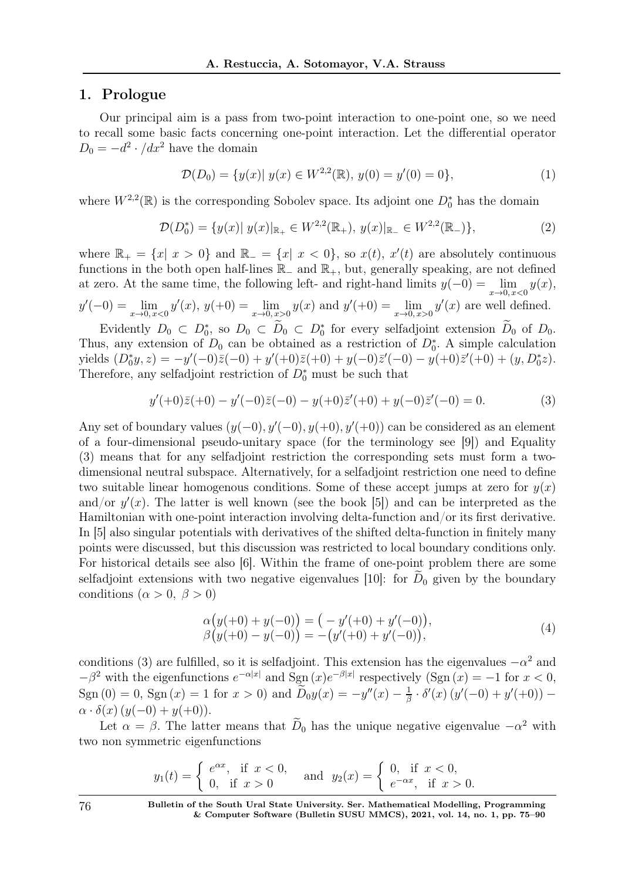### 1. Prologue

Our principal aim is a pass from two-point interaction to one-point one, so we need to recall some basic facts concerning one-point interaction. Let the differential operator  $D_0 = -d^2 \cdot /dx^2$  have the domain

$$
\mathcal{D}(D_0) = \{ y(x) | y(x) \in W^{2,2}(\mathbb{R}), y(0) = y'(0) = 0 \},\tag{1}
$$

where  $W^{2,2}(\mathbb{R})$  is the corresponding Sobolev space. Its adjoint one  $D_0^*$  has the domain

$$
\mathcal{D}(D_0^*) = \{ y(x) | y(x) |_{\mathbb{R}_+} \in W^{2,2}(\mathbb{R}_+), y(x) |_{\mathbb{R}_-} \in W^{2,2}(\mathbb{R}_-) \},
$$
\n(2)

where  $\mathbb{R}_+ = \{x \mid x > 0\}$  and  $\mathbb{R}_- = \{x \mid x < 0\}$ , so  $x(t)$ ,  $x'(t)$  are absolutely continuous functions in the both open half-lines  $\mathbb{R}_-$  and  $\mathbb{R}_+$ , but, generally speaking, are not defined at zero. At the same time, the following left- and right-hand limits  $y(-0) = \lim_{x\to 0, x<0} y(x)$ ,  $y'(-0) = \lim_{x \to 0, x < 0} y'(x), y(+0) = \lim_{x \to 0, x > 0} y(x)$  and  $y'(+0) = \lim_{x \to 0, x > 0} y'(x)$  are well defined.

Evidently  $D_0 \subset D_0^*$ , so  $D_0 \subset D_0 \subset D_0^*$  for every selfadjoint extension  $D_0$  of  $D_0$ . Thus, any extension of  $D_0$  can be obtained as a restriction of  $D_0^*$ . A simple calculation yields  $(D_0^*y, z) = -y'(-0)\bar{z}(-0) + y'(+0)\bar{z}(+0) + y(-0)\bar{z}'(-0) - y(+0)\bar{z}'(+0) + (y, D_0^*z).$ Therefore, any selfadjoint restriction of  $D_0^*$  must be such that

$$
y'(+0)\bar{z}(+0) - y'(-0)\bar{z}(-0) - y(+0)\bar{z}'(+0) + y(-0)\bar{z}'(-0) = 0.
$$
 (3)

Any set of boundary values  $(y(-0), y'(-0), y(+0), y'(+0))$  can be considered as an element of a four-dimensional pseudo-unitary space (for the terminology see [9]) and Equality (3) means that for any selfadjoint restriction the corresponding sets must form a twodimensional neutral subspace. Alternatively, for a selfadjoint restriction one need to define two suitable linear homogenous conditions. Some of these accept jumps at zero for  $y(x)$ and/or  $y'(x)$ . The latter is well known (see the book [5]) and can be interpreted as the Hamiltonian with one-point interaction involving delta-function and/or its first derivative. In [5] also singular potentials with derivatives of the shifted delta-function in finitely many points were discussed, but this discussion was restricted to local boundary conditions only. For historical details see also [6]. Within the frame of one-point problem there are some selfadjoint extensions with two negative eigenvalues [10]: for  $D_0$  given by the boundary conditions ( $\alpha > 0, \ \beta > 0$ )

$$
\alpha(y(+0) + y(-0)) = (-y'(+0) + y'(-0)),\beta(y(+0) - y(-0)) = -(y'(+0) + y'(-0)),
$$
\n(4)

conditions (3) are fulfilled, so it is selfadjoint. This extension has the eigenvalues  $-\alpha^2$  and  $-\beta^2$  with the eigenfunctions  $e^{-\alpha|x|}$  and Sgn  $(x)e^{-\beta|x|}$  respectively  $(Sgn(x)) = -1$  for  $x < 0$ , Sgn (0) = 0, Sgn (x) = 1 for  $x > 0$ ) and  $\tilde{D}_0 y(x) = -y''(x) - \frac{1}{\beta}$  $\frac{1}{\beta} \cdot \delta'(x) (y'(-0) + y'(+0)) \alpha \cdot \delta(x) (y(-0) + y(+0)).$ 

Let  $\alpha = \beta$ . The latter means that  $\overline{D}_0$  has the unique negative eigenvalue  $-\alpha^2$  with two non symmetric eigenfunctions

$$
y_1(t) = \begin{cases} e^{\alpha x}, & \text{if } x < 0, \\ 0, & \text{if } x > 0 \end{cases} \text{ and } y_2(x) = \begin{cases} 0, & \text{if } x < 0, \\ e^{-\alpha x}, & \text{if } x > 0. \end{cases}
$$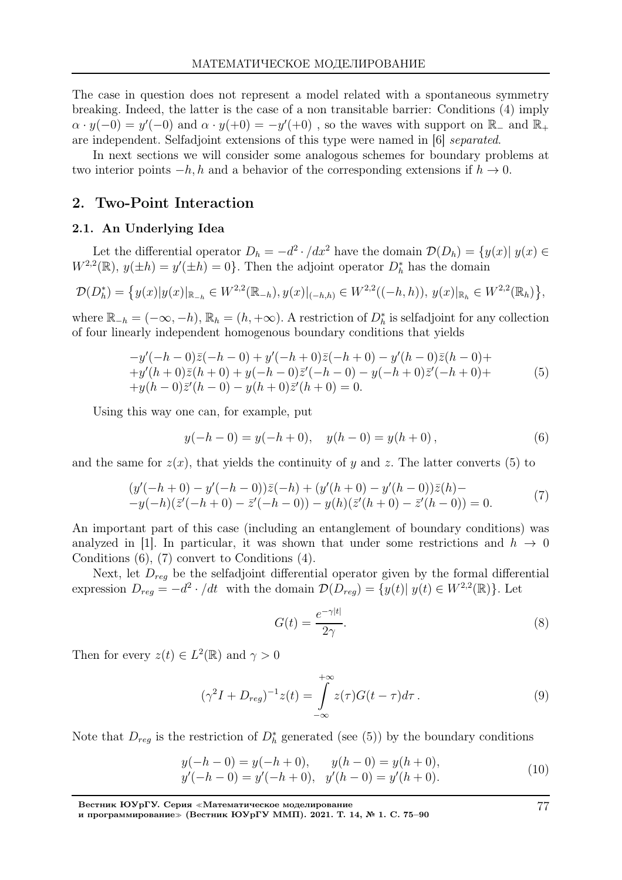The case in question does not represent a model related with a spontaneous symmetry breaking. Indeed, the latter is the case of a non transitable barrier: Conditions (4) imply  $\alpha \cdot y(-0) = y'(-0)$  and  $\alpha \cdot y(+0) = -y'(+0)$ , so the waves with support on  $\mathbb{R}_-$  and  $\mathbb{R}_+$ are independent. Selfadjoint extensions of this type were named in [6] separated.

In next sections we will consider some analogous schemes for boundary problems at two interior points  $-h, h$  and a behavior of the corresponding extensions if  $h \to 0$ .

## 2. Two-Point Interaction

#### 2.1. An Underlying Idea

Let the differential operator  $D_h = -d^2 \cdot /dx^2$  have the domain  $\mathcal{D}(D_h) = \{y(x) | y(x) \in \mathbb{R}^n : |y(x)| \leq 1\}$  $W^{2,2}(\mathbb{R}), y(\pm h) = y'(\pm h) = 0$ . Then the adjoint operator  $D_h^*$  has the domain

$$
\mathcal{D}(D_h^*) = \left\{ y(x) |y(x)|_{\mathbb{R}_{-h}} \in W^{2,2}(\mathbb{R}_{-h}), y(x)|_{(-h,h)} \in W^{2,2}((-h,h)), y(x)|_{\mathbb{R}_h} \in W^{2,2}(\mathbb{R}_h) \right\},\
$$

where  $\mathbb{R}_{-h} = (-\infty, -h), \mathbb{R}_h = (h, +\infty)$ . A restriction of  $D_h^*$  is selfadjoint for any collection of four linearly independent homogenous boundary conditions that yields

$$
-y'(-h-0)\bar{z}(-h-0) + y'(-h+0)\bar{z}(-h+0) - y'(h-0)\bar{z}(h-0) ++y'(h+0)\bar{z}(h+0) + y(-h-0)\bar{z}'(-h-0) - y(-h+0)\bar{z}'(-h+0) ++y(h-0)\bar{z}'(h-0) - y(h+0)\bar{z}'(h+0) = 0.
$$
\n(5)

Using this way one can, for example, put

$$
y(-h-0) = y(-h+0), \quad y(h-0) = y(h+0), \tag{6}
$$

and the same for  $z(x)$ , that yields the continuity of y and z. The latter converts (5) to

$$
(y'(-h+0) - y'(-h-0))\overline{z}(-h) + (y'(h+0) - y'(h-0))\overline{z}(h) --y(-h)(\overline{z}'(-h+0) - \overline{z}'(-h-0)) - y(h)(\overline{z}'(h+0) - \overline{z}'(h-0)) = 0.
$$
 (7)

An important part of this case (including an entanglement of boundary conditions) was analyzed in [1]. In particular, it was shown that under some restrictions and  $h \rightarrow 0$ Conditions (6), (7) convert to Conditions (4).

Next, let  $D_{reg}$  be the selfadjoint differential operator given by the formal differential expression  $D_{reg} = -d^2 \cdot / dt$  with the domain  $\mathcal{D}(D_{reg}) = \{y(t) | y(t) \in W^{2,2}(\mathbb{R})\}$ . Let

$$
G(t) = \frac{e^{-\gamma|t|}}{2\gamma}.
$$
\n(8)

Then for every  $z(t) \in L^2(\mathbb{R})$  and  $\gamma > 0$ 

$$
(\gamma^2 I + D_{reg})^{-1} z(t) = \int_{-\infty}^{+\infty} z(\tau) G(t - \tau) d\tau.
$$
 (9)

Note that  $D_{reg}$  is the restriction of  $D_h^*$  generated (see (5)) by the boundary conditions

$$
y(-h-0) = y(-h+0), \t y(h-0) = y(h+0),y'(-h-0) = y'(-h+0), \t y'(h-0) = y'(h+0).
$$
\t(10)

Вестник ЮУрГУ. Серия <sup>≪</sup>Математическое моделирование

и программирование<sup>≫</sup> (Вестник ЮУрГУ ММП). 2021. Т. 14, № 1. С. 75–90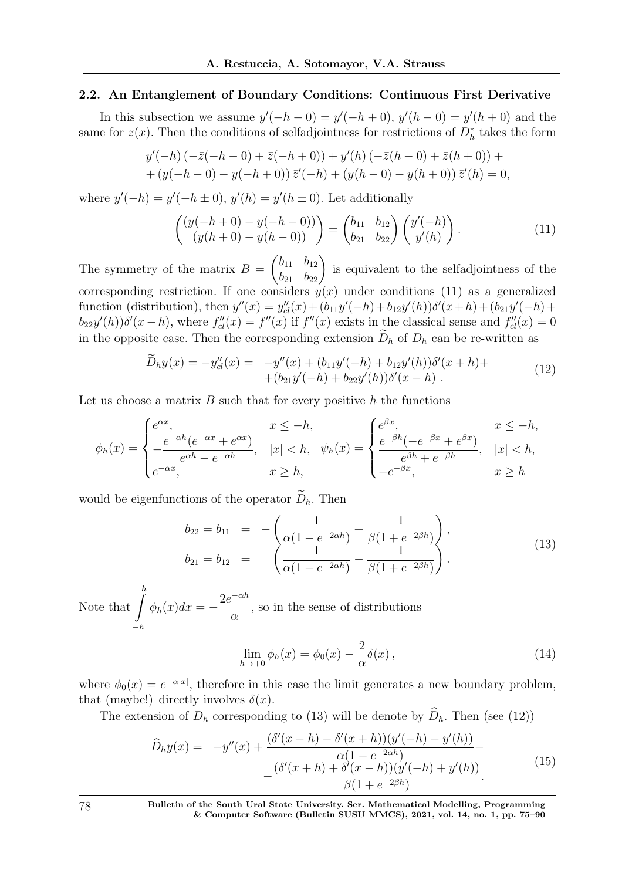#### 2.2. An Entanglement of Boundary Conditions: Continuous First Derivative

In this subsection we assume  $y'(-h - 0) = y'(-h + 0)$ ,  $y'(h - 0) = y'(h + 0)$  and the same for  $z(x)$ . Then the conditions of selfadjointness for restrictions of  $D_h^*$  takes the form

$$
y'(-h) (-\bar{z}(-h-0) + \bar{z}(-h+0)) + y'(h) (-\bar{z}(h-0) + \bar{z}(h+0)) +
$$
  
+  $(y(-h-0) - y(-h+0)) \bar{z}'(-h) + (y(h-0) - y(h+0)) \bar{z}'(h) = 0,$ 

where  $y'(-h) = y'(-h \pm 0)$ ,  $y'(h) = y'(h \pm 0)$ . Let additionally

$$
\begin{pmatrix}\n(y(-h+0) - y(-h-0)) \\
(y(h+0) - y(h-0))\n\end{pmatrix} =\n\begin{pmatrix}\nb_{11} & b_{12} \\
b_{21} & b_{22}\n\end{pmatrix}\n\begin{pmatrix}\ny'(-h) \\
y'(h)\n\end{pmatrix}.
$$
\n(11)

The symmetry of the matrix  $B =$  $\begin{pmatrix} b_{11} & b_{12} \\ b_{21} & b_{22} \end{pmatrix}$ is equivalent to the selfadjointness of the corresponding restriction. If one considers  $y(x)$  under conditions (11) as a generalized function (distribution), then  $y''(x) = y''_{cl}(x) + (b_{11}y'(-h) + b_{12}y'(h))\delta'(x+h) + (b_{21}y'(-h) + b_{22}y'(h))\delta'(x+h)$  $b_{22}y'(h))\delta'(x-h)$ , where  $f''_{cl}(x) = f''(x)$  if  $f''(x)$  exists in the classical sense and  $f''_{cl}(x) = 0$ in the opposite case. Then the corresponding extension  $\widetilde{D}_h$  of  $D_h$  can be re-written as

$$
\widetilde{D}_h y(x) = -y''_{cl}(x) = -y''(x) + (b_{11}y'(-h) + b_{12}y'(h))\delta'(x+h) + (b_{21}y'(-h) + b_{22}y'(h))\delta'(x-h) \tag{12}
$$

Let us choose a matrix  $B$  such that for every positive  $h$  the functions

$$
\phi_h(x) = \begin{cases} e^{\alpha x}, & x \le -h, \\ -\frac{e^{-\alpha h}(e^{-\alpha x} + e^{\alpha x})}{e^{\alpha h} - e^{-\alpha h}}, & |x| < h, \\ e^{-\alpha x}, & x \ge h, \end{cases} \quad \psi_h(x) = \begin{cases} e^{\beta x}, & x \le -h, \\ \frac{e^{-\beta h}(-e^{-\beta x} + e^{\beta x})}{e^{\beta h} + e^{-\beta h}}, & |x| < h, \\ -e^{-\beta x}, & x \ge h \end{cases}
$$

would be eigenfunctions of the operator  $\widetilde{D}_h$ . Then

$$
b_{22} = b_{11} = -\left(\frac{1}{\alpha(1 - e^{-2\alpha h})} + \frac{1}{\beta(1 + e^{-2\beta h})}\right),
$$
  
\n
$$
b_{21} = b_{12} = \left(\frac{1}{\alpha(1 - e^{-2\alpha h})} - \frac{1}{\beta(1 + e^{-2\beta h})}\right).
$$
\n(13)

Note that  $\int_{0}^{h}$  $-h$  $\phi_h(x)dx = 2e^{-\alpha h}$  $\alpha$ , so in the sense of distributions

$$
\lim_{h \to +0} \phi_h(x) = \phi_0(x) - \frac{2}{\alpha} \delta(x) , \qquad (14)
$$

where  $\phi_0(x) = e^{-\alpha |x|}$ , therefore in this case the limit generates a new boundary problem, that (maybe!) directly involves  $\delta(x)$ .

The extension of  $D_h$  corresponding to (13) will be denote by  $\widehat{D}_h$ . Then (see (12))

$$
\widehat{D}_h y(x) = -y''(x) + \frac{(\delta'(x-h) - \delta'(x+h))(y'(-h) - y'(h))}{\alpha(1 - e^{-2\alpha h})} - \frac{(\delta'(x+h) + \delta'(x-h))(y'(-h) + y'(h))}{\beta(1 + e^{-2\beta h})}.
$$
\n(15)

78 Bulletin of the South Ural State University. Ser. Mathematical Modelling, Programming & Computer Software (Bulletin SUSU MMCS), 2021, vol. 14, no. 1, pp. 75–90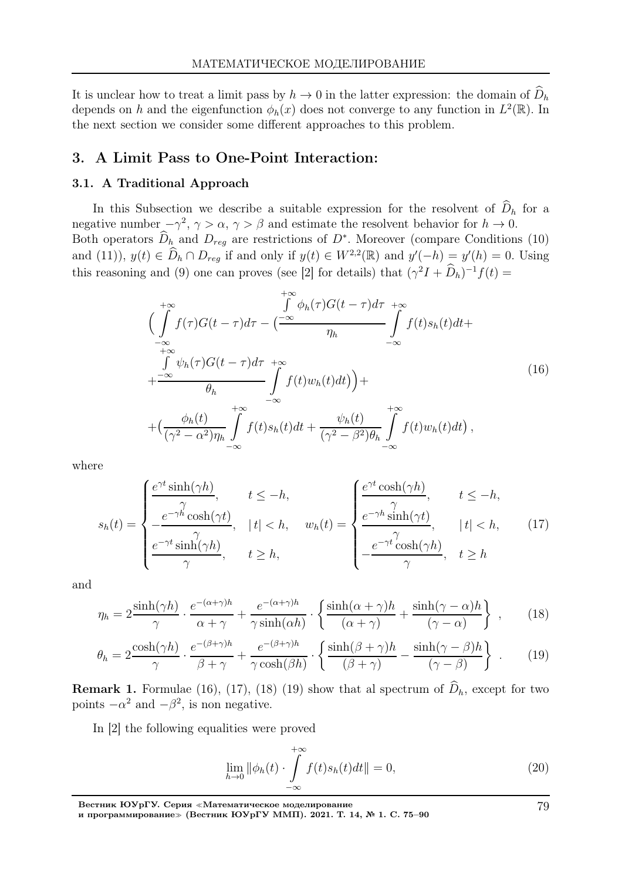It is unclear how to treat a limit pass by  $h \to 0$  in the latter expression: the domain of  $D_h$ depends on h and the eigenfunction  $\phi_h(x)$  does not converge to any function in  $L^2(\mathbb{R})$ . In the next section we consider some different approaches to this problem.

### 3. A Limit Pass to One-Point Interaction:

#### 3.1. A Traditional Approach

In this Subsection we describe a suitable expression for the resolvent of  $\widehat{D}_h$  for a negative number  $-\gamma^2$ ,  $\gamma > \alpha$ ,  $\gamma > \beta$  and estimate the resolvent behavior for  $h \to 0$ . Both operators  $D_{h}$  and  $D_{reg}$  are restrictions of  $D^*$ . Moreover (compare Conditions (10) and (11)),  $y(t) \in \widehat{D}_h \cap D_{reg}$  if and only if  $y(t) \in W^{2,2}(\mathbb{R})$  and  $y'(-h) = y'(h) = 0$ . Using this reasoning and (9) one can proves (see [2] for details) that  $(\gamma^2 I + D_h)^{-1} f(t) =$ 

$$
\begin{split}\n&\int_{-\infty}^{+\infty} \oint_{-\infty}^{\infty} \phi_h(\tau) G(t-\tau) d\tau &\to \infty \\
&\int_{-\infty}^{+\infty} f(\tau) G(t-\tau) d\tau - \left(\frac{-\infty}{\eta_h} \int_{-\infty}^{+\infty} f(t) s_h(t) dt + \int_{-\infty}^{+\infty} f(t) s_h(t) dt + \int_{-\infty}^{+\infty} f(t) w_h(t) dt\right) + \left(\frac{\phi_h(t)}{(\gamma^2 - \alpha^2)\eta_h} \int_{-\infty}^{+\infty} f(t) s_h(t) dt + \frac{\psi_h(t)}{(\gamma^2 - \beta^2)\theta_h} \int_{-\infty}^{+\infty} f(t) w_h(t) dt\right),\n\end{split} \tag{16}
$$

where

$$
s_h(t) = \begin{cases} \frac{e^{\gamma t} \sinh(\gamma h)}{\gamma}, & t \le -h, \\ \frac{e^{-\gamma h} \cosh(\gamma t)}{\gamma}, & t \ge h, \\ \frac{e^{-\gamma t} \sinh(\gamma h)}{\gamma}, & t \ge h, \end{cases} \quad w_h(t) = \begin{cases} \frac{e^{\gamma t} \cosh(\gamma h)}{\gamma}, & t \le -h, \\ \frac{e^{-\gamma h} \sinh(\gamma t)}{\gamma}, & t \ge h, \\ -\frac{e^{-\gamma t} \cosh(\gamma h)}{\gamma}, & t \ge h \end{cases} \tag{17}
$$

and

$$
\eta_h = 2 \frac{\sinh(\gamma h)}{\gamma} \cdot \frac{e^{-(\alpha+\gamma)h}}{\alpha+\gamma} + \frac{e^{-(\alpha+\gamma)h}}{\gamma \sinh(\alpha h)} \cdot \left\{ \frac{\sinh(\alpha+\gamma)h}{(\alpha+\gamma)} + \frac{\sinh(\gamma-\alpha)h}{(\gamma-\alpha)} \right\} ,\qquad(18)
$$

$$
\theta_h = 2 \frac{\cosh(\gamma h)}{\gamma} \cdot \frac{e^{-(\beta + \gamma)h}}{\beta + \gamma} + \frac{e^{-(\beta + \gamma)h}}{\gamma \cosh(\beta h)} \cdot \left\{ \frac{\sinh(\beta + \gamma)h}{(\beta + \gamma)} - \frac{\sinh(\gamma - \beta)h}{(\gamma - \beta)} \right\} \ . \tag{19}
$$

**Remark 1.** Formulae (16), (17), (18) (19) show that al spectrum of  $\widehat{D}_h$ , except for two points  $-\alpha^2$  and  $-\beta^2$ , is non negative.

In [2] the following equalities were proved

$$
\lim_{h \to 0} \|\phi_h(t) \cdot \int_{-\infty}^{+\infty} f(t)s_h(t)dt\| = 0,
$$
\n(20)

Вестник ЮУрГУ. Серия <sup>≪</sup>Математическое моделирование

и программирование<sup>≫</sup> (Вестник ЮУрГУ ММП). 2021. Т. 14, № 1. С. 75–90

79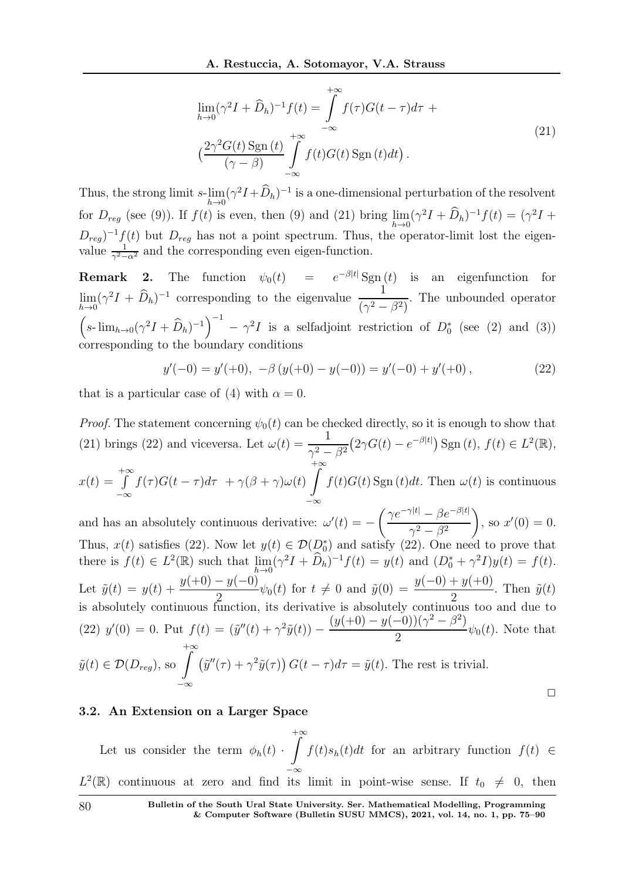$$
\lim_{h \to 0} (\gamma^2 I + \widehat{D}_h)^{-1} f(t) = \int_{-\infty}^{+\infty} f(\tau) G(t - \tau) d\tau +
$$
\n
$$
\left(\frac{2\gamma^2 G(t) \operatorname{Sgn}(t)}{(\gamma - \beta)} \int_{-\infty}^{+\infty} f(t) G(t) \operatorname{Sgn}(t) dt\right).
$$
\n(21)

Thus, the strong limit s-lim  $h\rightarrow 0$  $(\gamma^2 I + \tilde{D}_h)^{-1}$  is a one-dimensional perturbation of the resolvent for  $D_{reg}$  (see (9)). If  $f(t)$  is even, then (9) and (21) bring  $\lim_{t\to 0}$  $h\rightarrow 0$  $(\gamma^2 I + \tilde{D}_h)^{-1} f(t) = (\gamma^2 I +$  $D_{reg}$ <sup>-1</sup>f(t) but  $D_{reg}$  has not a point spectrum. Thus, the operator-limit lost the eigenvalue  $\frac{1}{\gamma^2 - \alpha^2}$  and the corresponding even eigen-function.

**Remark 2.** The function  $\psi_0(t) = e^{-\beta|t|} \text{Sgn}(t)$  is an eigenfunction for lim  $h\rightarrow 0$  $(\gamma^2 I + \widehat{D}_h)^{-1}$  corresponding to the eigenvalue  $\frac{1}{(\gamma^2 - 1)^2}$  $\frac{1}{(\gamma^2 - \beta^2)}$ . The unbounded operator  $\left(s\text{-}\lim_{h\to 0}(\gamma^2I+\widehat{D}_h)^{-1}\right)^{-1}-\gamma^2I$  is a selfadjoint restriction of  $D_0^*$  (see (2) and (3)) corresponding to the boundary conditions

$$
y'(-0) = y'(+0), -\beta (y(+0) - y(-0)) = y'(-0) + y'(+0), \qquad (22)
$$

that is a particular case of (4) with  $\alpha = 0$ .

*Proof.* The statement concerning  $\psi_0(t)$  can be checked directly, so it is enough to show that (21) brings (22) and viceversa. Let  $\omega(t) = \frac{1}{2}$  $\frac{1}{\gamma^2-\beta^2}(2\gamma G(t)-e^{-\beta|t|})\operatorname{Sgn}(t), f(t)\in L^2(\mathbb{R}),$  $x(t) =$  $+∞$ −∞  $f(\tau)G(t-\tau)d\tau + \gamma(\beta+\gamma)\omega(t)$  $+\infty$ −∞  $f(t)G(t)$  Sgn  $(t)dt$ . Then  $\omega(t)$  is continuous

and has an absolutely continuous derivative:  $\omega'(t) = \int \gamma e^{-\gamma|t|} - \beta e^{-\beta|t|}$  $\gamma^2 - \beta^2$  $\lambda$ , so  $x'(0) = 0$ . Thus,  $x(t)$  satisfies (22). Now let  $y(t) \in \mathcal{D}(\mathcal{D}_0^*)$  and satisfy (22). One need to prove that there is  $f(t) \in L^2(\mathbb{R})$  such that  $\lim_{h \to 0}$  $h\rightarrow 0$  $(\gamma^2 I + D_h)^{-1} f(t) = y(t)$  and  $(D_0^* + \gamma^2 I) y(t) = f(t)$ . Let  $\tilde{y}(t) = y(t) + \frac{y(+0) - y(-0)}{2}$  $\frac{y(-0)}{2}\psi_0(t)$  for  $t \neq 0$  and  $\tilde{y}(0) = \frac{y(-0) + y(+0)}{2}$ . Then  $\tilde{y}(t)$ is absolutely continuous function, its derivative is absolutely continuous too and due to (22)  $y'(0) = 0$ . Put  $f(t) = (\tilde{y}''(t) + \gamma^2 \tilde{y}(t)) (y(+0) - y(-0))(\gamma^2 - \beta^2)$  $\frac{e^{t}y(t)-e^{-t}}{2}\psi_0(t)$ . Note that  $\tilde{y}(t) \in \mathcal{D}(D_{reg}),$  so  $\int^{+\infty}$ −∞  $(\tilde{y}''(\tau) + \gamma^2 \tilde{y}(\tau)) G(t - \tau) d\tau = \tilde{y}(t)$ . The rest is trivial.  $\Box$ 

#### 3.2. An Extension on a Larger Space

Let us consider the term  $\phi_h(t)$ .  $+\infty$  $L^2(\mathbb{R})$  continuous at zero and find its limit in point-wise sense. If  $t_0 \neq 0$ , then  $f(t)s_h(t)dt$  for an arbitrary function  $f(t) \in$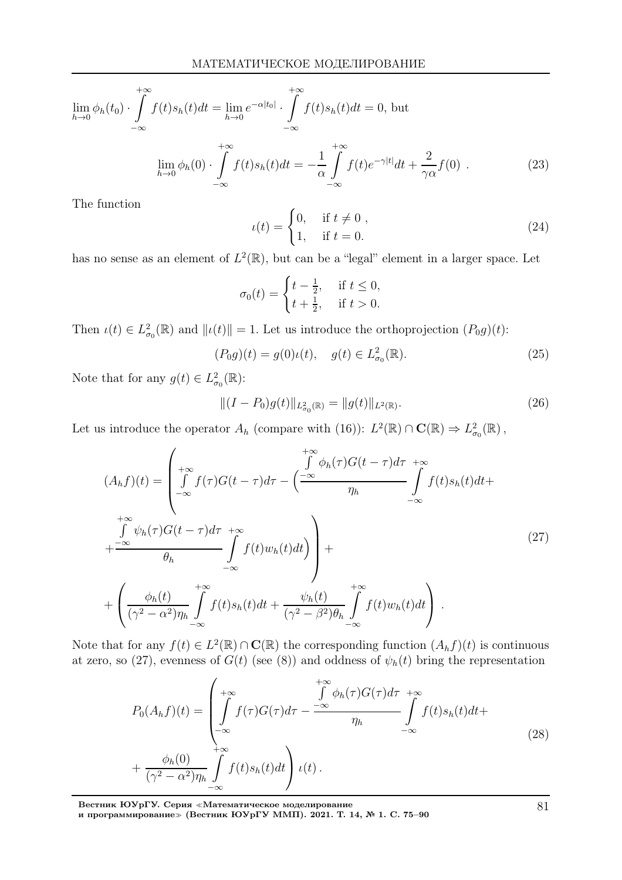$$
\lim_{h \to 0} \phi_h(t_0) \cdot \int_{-\infty}^{+\infty} f(t) s_h(t) dt = \lim_{h \to 0} e^{-\alpha|t_0|} \cdot \int_{-\infty}^{+\infty} f(t) s_h(t) dt = 0, \text{ but}
$$

$$
\lim_{h \to 0} \phi_h(0) \cdot \int_{-\infty}^{+\infty} f(t) s_h(t) dt = -\frac{1}{\alpha} \int_{-\infty}^{+\infty} f(t) e^{-\gamma|t|} dt + \frac{2}{\gamma \alpha} f(0) . \tag{23}
$$

The function

$$
u(t) = \begin{cases} 0, & \text{if } t \neq 0, \\ 1, & \text{if } t = 0. \end{cases}
$$
 (24)

has no sense as an element of  $L^2(\mathbb{R})$ , but can be a "legal" element in a larger space. Let

$$
\sigma_0(t) = \begin{cases} t - \frac{1}{2}, & \text{if } t \le 0, \\ t + \frac{1}{2}, & \text{if } t > 0. \end{cases}
$$

Then  $\iota(t) \in L^2_{\sigma_0}(\mathbb{R})$  and  $\|\iota(t)\| = 1$ . Let us introduce the orthoprojection  $(P_0 g)(t)$ :

$$
(P_0 g)(t) = g(0)\iota(t), \quad g(t) \in L^2_{\sigma_0}(\mathbb{R}).
$$
\n(25)

Note that for any  $g(t) \in L^2_{\sigma_0}(\mathbb{R})$ :

$$
||(I - P_0)g(t)||_{L^2_{\sigma_0}(\mathbb{R})} = ||g(t)||_{L^2(\mathbb{R})}.
$$
\n(26)

Let us introduce the operator  $A_h$  (compare with (16)):  $L^2(\mathbb{R}) \cap \mathbf{C}(\mathbb{R}) \Rightarrow L^2_{\sigma_0}(\mathbb{R})$ ,

$$
(A_h f)(t) = \begin{pmatrix} +\infty & f \phi_h(\tau)G(t-\tau)d\tau & +\infty \\ f \int_{-\infty}^{+\infty} f(\tau)G(t-\tau)d\tau - \left(\frac{-\infty}{\eta_h} \int_{-\infty}^{+\infty} f(t)s_h(t)dt + \int_{-\infty}^{+\infty} f(t)s_h(t)dt + \int_{-\infty}^{+\infty} f(t)K(t)G(t-\tau)d\tau & \text{for } t \leq 1, \text{ for } t \leq 2\pi \end{pmatrix}
$$
  
+ 
$$
\begin{pmatrix} \frac{\phi_h(t)}{(\gamma^2 - \alpha^2)\eta_h} \int_{-\infty}^{+\infty} f(t)s_h(t)dt + \frac{\psi_h(t)}{(\gamma^2 - \beta^2)\theta_h} \int_{-\infty}^{+\infty} f(t)W_h(t)dt \end{pmatrix}.
$$
 (27)

Note that for any  $f(t) \in L^2(\mathbb{R}) \cap \mathbf{C}(\mathbb{R})$  the corresponding function  $(A_h f)(t)$  is continuous at zero, so (27), evenness of  $G(t)$  (see (8)) and oddness of  $\psi_h(t)$  bring the representation

$$
P_0(A_h f)(t) = \left(\int_{-\infty}^{+\infty} f(\tau)G(\tau)d\tau - \frac{\int_{-\infty}^{+\infty} \phi_h(\tau)G(\tau)d\tau}{\eta_h} + \frac{\phi_h(0)}{(\gamma^2 - \alpha^2)\eta_h} \int_{-\infty}^{+\infty} f(t)s_h(t)dt\right) \iota(t).
$$
\n(28)

Вестник ЮУрГУ. Серия <sup>≪</sup>Математическое моделирование и программирование≫ (Вестник ЮУрГУ ММП). 2021. Т. 14, № 1. С. 75–90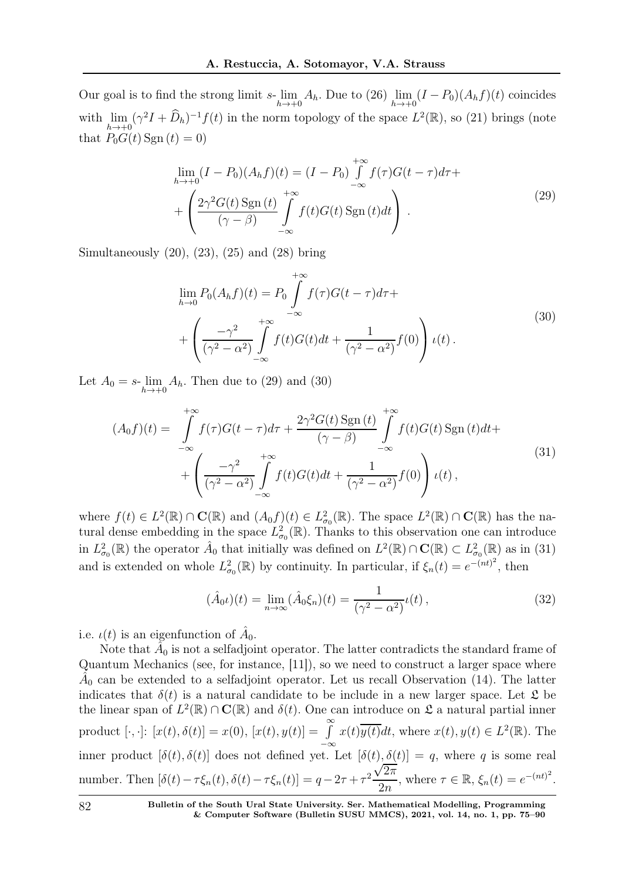Our goal is to find the strong limit s- lim  $h\rightarrow +0$  $A_h$ . Due to  $(26)$  lim  $\lim_{h\to+0} (I - P_0)(A_h f)(t)$  coincides with lim  $h\rightarrow+0$  $(\gamma^2 I + \widehat{D}_h)^{-1} f(t)$  in the norm topology of the space  $L^2(\mathbb{R})$ , so (21) brings (note that  $P_0G(t)$  Sgn  $(t) = 0$ )

$$
\lim_{h \to +0} (I - P_0)(A_h f)(t) = (I - P_0) \int_{-\infty}^{+\infty} f(\tau)G(t - \tau)d\tau +
$$
  
+ 
$$
\left(\frac{2\gamma^2 G(t) \operatorname{Sgn}(t)}{(\gamma - \beta)} \int_{-\infty}^{+\infty} f(t)G(t) \operatorname{Sgn}(t)dt\right).
$$
 (29)

Simultaneously (20), (23), (25) and (28) bring

$$
\lim_{h \to 0} P_0(A_h f)(t) = P_0 \int_{-\infty}^{+\infty} f(\tau)G(t - \tau)d\tau + \left(\frac{-\gamma^2}{(\gamma^2 - \alpha^2)} \int_{-\infty}^{+\infty} f(t)G(t)dt + \frac{1}{(\gamma^2 - \alpha^2)} f(0)\right) \iota(t).
$$
\n(30)

Let  $A_0 = s$ -lim  $h\rightarrow +0$  $A_h$ . Then due to  $(29)$  and  $(30)$ 

$$
(A_0 f)(t) = \int_{-\infty}^{+\infty} f(\tau)G(t-\tau)d\tau + \frac{2\gamma^2 G(t) \operatorname{Sgn}(t)}{(\gamma-\beta)} \int_{-\infty}^{+\infty} f(t)G(t) \operatorname{Sgn}(t)dt + \left(\frac{-\gamma^2}{(\gamma^2-\alpha^2)} \int_{-\infty}^{+\infty} f(t)G(t)dt + \frac{1}{(\gamma^2-\alpha^2)} f(0)\right) \iota(t), \tag{31}
$$

where  $f(t) \in L^2(\mathbb{R}) \cap \mathbf{C}(\mathbb{R})$  and  $(A_0 f)(t) \in L^2_{\sigma_0}(\mathbb{R})$ . The space  $L^2(\mathbb{R}) \cap \mathbf{C}(\mathbb{R})$  has the natural dense embedding in the space  $L^2_{\sigma_0}(\mathbb{R})$ . Thanks to this observation one can introduce in  $L^2_{\sigma_0}(\mathbb{R})$  the operator  $\hat{A}_0$  that initially was defined on  $L^2(\mathbb{R}) \cap \mathbf{C}(\mathbb{R}) \subset L^2_{\sigma_0}(\mathbb{R})$  as in (31) and is extended on whole  $L^2_{\sigma_0}(\mathbb{R})$  by continuity. In particular, if  $\xi_n(t) = e^{-(nt)^2}$ , then

$$
(\hat{A}_0 \iota)(t) = \lim_{n \to \infty} (\hat{A}_0 \xi_n)(t) = \frac{1}{(\gamma^2 - \alpha^2)} \iota(t), \tag{32}
$$

i.e.  $\iota(t)$  is an eigenfunction of  $\hat{A}_0$ .

Note that  $\hat{A}_0$  is not a selfadjoint operator. The latter contradicts the standard frame of Quantum Mechanics (see, for instance, [11]), so we need to construct a larger space where  $\hat{A}_0$  can be extended to a selfadjoint operator. Let us recall Observation (14). The latter indicates that  $\delta(t)$  is a natural candidate to be include in a new larger space. Let  $\mathfrak L$  be the linear span of  $L^2(\mathbb{R}) \cap \mathbf{C}(\mathbb{R})$  and  $\delta(t)$ . One can introduce on  $\mathfrak{L}$  a natural partial inner product  $[\cdot, \cdot]$ :  $[x(t), \delta(t)] = x(0)$ ,  $[x(t), y(t)] = \int_0^\infty x(t) \overline{y(t)} dt$ , where  $x(t), y(t) \in L^2(\mathbb{R})$ . The inner product  $[\delta(t), \delta(t)]$  does not defined yet. Let  $[\delta(t), \delta(t)] = q$ , where q is some real number. Then  $[\delta(t) - \tau \xi_n(t), \delta(t) - \tau \xi_n(t)] = q - 2\tau + \tau^2$  $\sqrt{2\pi}$  $\frac{2\pi}{2n}$ , where  $\tau \in \mathbb{R}$ ,  $\xi_n(t) = e^{-(nt)^2}$ .

82 Bulletin of the South Ural State University. Ser. Mathematical Modelling, Programming & Computer Software (Bulletin SUSU MMCS), 2021, vol. 14, no. 1, pp. 75–90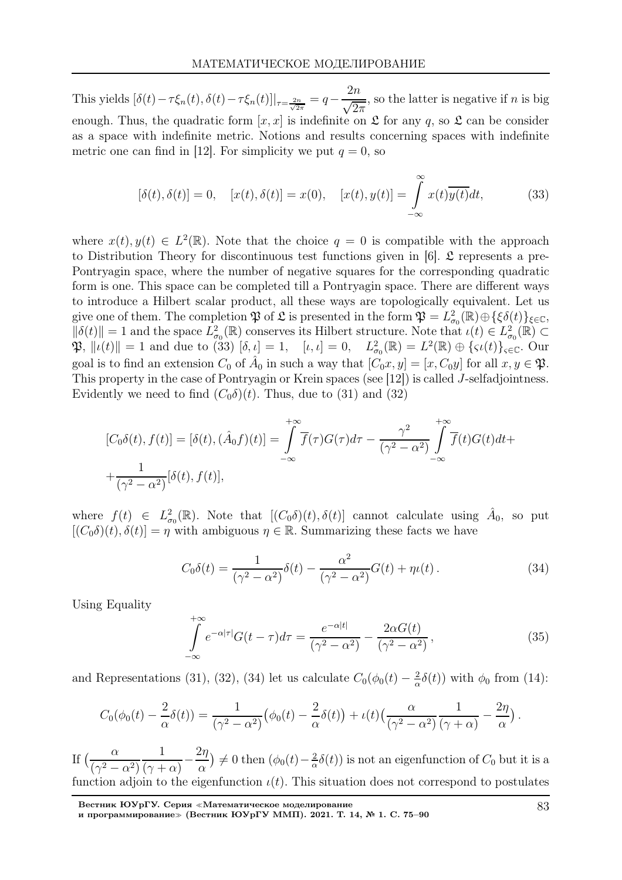This yields  $[\delta(t) - \tau \xi_n(t), \delta(t) - \tau \xi_n(t)]|_{\tau = \frac{2n}{\sqrt{2\pi}}} = q 2n$  $\sqrt{2\pi}$ , so the latter is negative if  $n$  is big enough. Thus, the quadratic form  $[x, x]$  is indefinite on  $\mathfrak L$  for any q, so  $\mathfrak L$  can be consider as a space with indefinite metric. Notions and results concerning spaces with indefinite metric one can find in [12]. For simplicity we put  $q = 0$ , so

$$
[\delta(t), \delta(t)] = 0, \quad [x(t), \delta(t)] = x(0), \quad [x(t), y(t)] = \int_{-\infty}^{\infty} x(t) \overline{y(t)} dt,\tag{33}
$$

where  $x(t), y(t) \in L^2(\mathbb{R})$ . Note that the choice  $q = 0$  is compatible with the approach to Distribution Theory for discontinuous test functions given in [6].  $\mathfrak L$  represents a pre-Pontryagin space, where the number of negative squares for the corresponding quadratic form is one. This space can be completed till a Pontryagin space. There are different ways to introduce a Hilbert scalar product, all these ways are topologically equivalent. Let us give one of them. The completion  $\mathfrak{P}$  of  $\mathfrak{L}$  is presented in the form  $\mathfrak{P} = L^2_{\sigma_0}(\mathbb{R}) \oplus {\{\xi_0(t)\}}_{\xi \in \mathbb{C}},$  $\|\delta(t)\| = 1$  and the space  $L^2_{\sigma_0}(\mathbb{R})$  conserves its Hilbert structure. Note that  $\iota(t) \in L^2_{\sigma_0}(\mathbb{R}) \subset$  $\mathfrak{P}, \| \iota(t) \| = 1$  and due to (33)  $[\delta, \iota] = 1, \quad [\iota, \iota] = 0, \quad L^2_{\sigma_0}(\mathbb{R}) = L^2(\mathbb{R}) \oplus {\{\varsigma \iota(t)\}}_{\varsigma \in \mathbb{C}}.$  Our goal is to find an extension  $C_0$  of  $\hat{A}_0$  in such a way that  $[C_0x, y] = [x, C_0y]$  for all  $x, y \in \mathfrak{P}$ . This property in the case of Pontryagin or Krein spaces (see [12]) is called J-selfadjointness. Evidently we need to find  $(C_0\delta)(t)$ . Thus, due to (31) and (32)

$$
[C_0\delta(t), f(t)] = [\delta(t), (\hat{A}_0 f)(t)] = \int_{-\infty}^{+\infty} \overline{f}(\tau)G(\tau)d\tau - \frac{\gamma^2}{(\gamma^2 - \alpha^2)} \int_{-\infty}^{+\infty} \overline{f}(t)G(t)dt + \frac{1}{(\gamma^2 - \alpha^2)} [\delta(t), f(t)],
$$

where  $f(t) \in L^2_{\sigma_0}(\mathbb{R})$ . Note that  $[(C_0\delta)(t), \delta(t)]$  cannot calculate using  $\hat{A}_0$ , so put  $[(C_0\delta)(t), \delta(t)] = \eta$  with ambiguous  $\eta \in \mathbb{R}$ . Summarizing these facts we have

$$
C_0 \delta(t) = \frac{1}{(\gamma^2 - \alpha^2)} \delta(t) - \frac{\alpha^2}{(\gamma^2 - \alpha^2)} G(t) + \eta \iota(t).
$$
 (34)

Using Equality

$$
\int_{-\infty}^{+\infty} e^{-\alpha|\tau|} G(t-\tau) d\tau = \frac{e^{-\alpha|t|}}{(\gamma^2 - \alpha^2)} - \frac{2\alpha G(t)}{(\gamma^2 - \alpha^2)},
$$
\n(35)

and Representations (31), (32), (34) let us calculate  $C_0(\phi_0(t) - \frac{2}{\alpha})$  $\frac{2}{\alpha}\delta(t)$ ) with  $\phi_0$  from (14):

$$
C_0(\phi_0(t) - \frac{2}{\alpha}\delta(t)) = \frac{1}{(\gamma^2 - \alpha^2)}(\phi_0(t) - \frac{2}{\alpha}\delta(t)) + \iota(t)\left(\frac{\alpha}{(\gamma^2 - \alpha^2)}\frac{1}{(\gamma + \alpha)} - \frac{2\eta}{\alpha}\right).
$$

If  $\left(\frac{\alpha}{\alpha}\right)$  $(\gamma^2 - \alpha^2)$ 1  $\sqrt{(\gamma + \alpha)}$  $2\eta$  $\alpha$ ) ≠ 0 then  $(\phi_0(t) - \frac{2}{\alpha})$  $\frac{2}{\alpha}\delta(t)$ ) is not an eigenfunction of  $C_0$  but it is a function adjoin to the eigenfunction  $\iota(t)$ . This situation does not correspond to postulates

Вестник ЮУрГУ. Серия <sup>≪</sup>Математическое моделирование и программирование≫ (Вестник ЮУрГУ ММП). 2021. Т. 14, № 1. С. 75–90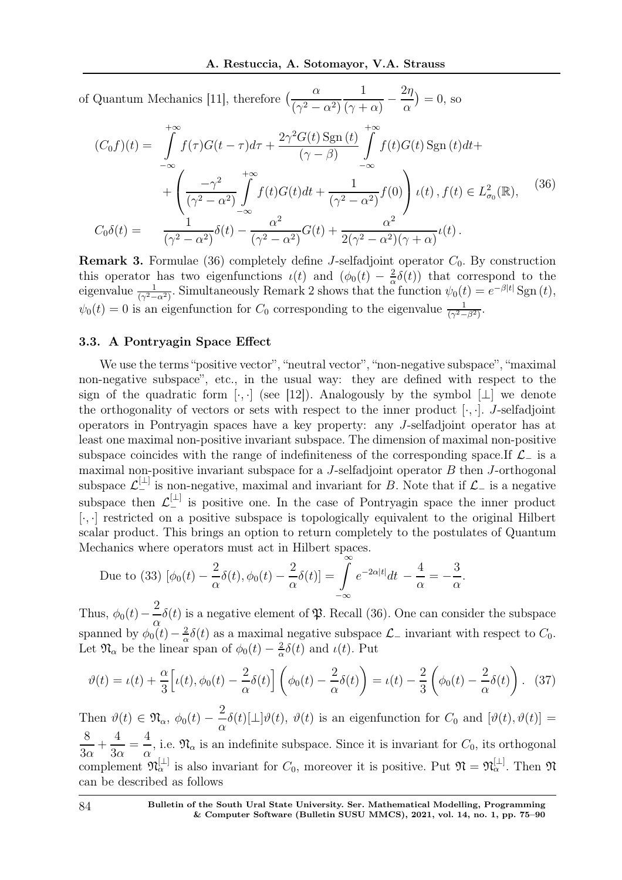of Quantum Mechanics [11], therefore  $\left(\frac{\alpha}{\alpha}\right)$  $(\gamma^2 - \alpha^2)$ 1  $\overline{(\gamma + \alpha)}$  –  $2\eta$  $\alpha$  $= 0$ , so

$$
(C_0 f)(t) = \int_{-\infty}^{+\infty} f(\tau)G(t-\tau)d\tau + \frac{2\gamma^2 G(t) \operatorname{Sgn}(t)}{(\gamma-\beta)} \int_{-\infty}^{+\infty} f(t)G(t) \operatorname{Sgn}(t)dt + + \left(\frac{-\gamma^2}{(\gamma^2-\alpha^2)} \int_{-\infty}^{+\infty} f(t)G(t)dt + \frac{1}{(\gamma^2-\alpha^2)} f(0)\right) \iota(t), f(t) \in L^2_{\sigma_0}(\mathbb{R}),
$$
\n
$$
C_0 \delta(t) = \frac{1}{(\gamma^2-\alpha^2)} \delta(t) - \frac{\alpha^2}{(\gamma^2-\alpha^2)} G(t) + \frac{\alpha^2}{2(\gamma^2-\alpha^2)(\gamma+\alpha)} \iota(t).
$$
\n(36)

**Remark 3.** Formulae (36) completely define J-selfadjoint operator  $C_0$ . By construction this operator has two eigenfunctions  $\iota(t)$  and  $(\phi_0(t) - \frac{2}{\alpha})$  $\frac{2}{\alpha}\delta(t)$  that correspond to the eigenvalue  $\frac{1}{(\gamma^2-\alpha^2)}$ . Simultaneously Remark 2 shows that the function  $\psi_0(t) = e^{-\beta|t|} \operatorname{Sgn}(t)$ ,  $\psi_0(t) = 0$  is an eigenfunction for  $C_0$  corresponding to the eigenvalue  $\frac{1}{(\gamma^2 - \beta^2)}$ .

### 3.3. A Pontryagin Space Effect

We use the terms "positive vector", "neutral vector", "non-negative subspace", "maximal" non-negative subspace", etc., in the usual way: they are defined with respect to the sign of the quadratic form [ $\cdot$ , ·] (see [12]). Analogously by the symbol [ $\perp$ ] we denote the orthogonality of vectors or sets with respect to the inner product  $[\cdot, \cdot]$ . J-selfadjoint operators in Pontryagin spaces have a key property: any J-selfadjoint operator has at least one maximal non-positive invariant subspace. The dimension of maximal non-positive subspace coincides with the range of indefiniteness of the corresponding space.If  $\mathcal{L}_-$  is a maximal non-positive invariant subspace for a  $J$ -selfadjoint operator  $B$  then  $J$ -orthogonal subspace  $\mathcal{L}^{[\perp]}_{-}$  is non-negative, maximal and invariant for B. Note that if  $\mathcal{L}_{-}$  is a negative subspace then  $\mathcal{L}^{[\perp]}_{-}$  is positive one. In the case of Pontryagin space the inner product [·, ·] restricted on a positive subspace is topologically equivalent to the original Hilbert scalar product. This brings an option to return completely to the postulates of Quantum Mechanics where operators must act in Hilbert spaces.

Due to (33) 
$$
[\phi_0(t) - \frac{2}{\alpha}\delta(t), \phi_0(t) - \frac{2}{\alpha}\delta(t)] = \int_{-\infty}^{\infty} e^{-2\alpha|t|} dt - \frac{4}{\alpha} = -\frac{3}{\alpha}.
$$

Thus,  $\phi_0(t)$  – 2 α  $\delta(t)$  is a negative element of  $\mathfrak{P}$ . Recall (36). One can consider the subspace spanned by  $\phi_0(t) - \frac{2}{\alpha}$  $\frac{2}{\alpha}\delta(t)$  as a maximal negative subspace  $\mathcal{L}_-$  invariant with respect to  $C_0$ . Let  $\mathfrak{N}_{\alpha}$  be the linear span of  $\phi_0(t) - \frac{2}{\alpha}$  $\frac{2}{\alpha}\delta(t)$  and  $\iota(t)$ . Put

$$
\vartheta(t) = \iota(t) + \frac{\alpha}{3} \left[ \iota(t), \phi_0(t) - \frac{2}{\alpha} \delta(t) \right] \left( \phi_0(t) - \frac{2}{\alpha} \delta(t) \right) = \iota(t) - \frac{2}{3} \left( \phi_0(t) - \frac{2}{\alpha} \delta(t) \right). \tag{37}
$$

Then  $\vartheta(t) \in \mathfrak{N}_{\alpha}, \ \phi_0(t) - \frac{2}{\alpha}$  $\frac{\partial}{\partial \alpha}\delta(t)[\bot]\vartheta(t), \vartheta(t)$  is an eigenfunction for  $C_0$  and  $[\vartheta(t), \vartheta(t)] =$ 8  $3\alpha$  $+$ 4  $3\alpha$ = 4  $\frac{1}{\alpha}$ , i.e.  $\mathfrak{N}_{\alpha}$  is an indefinite subspace. Since it is invariant for  $C_0$ , its orthogonal complement  $\mathfrak{N}_{\alpha}^{[\perp]}$  is also invariant for  $C_0$ , moreover it is positive. Put  $\mathfrak{N} = \mathfrak{N}_{\alpha}^{[\perp]}$ . Then  $\mathfrak{N}$ can be described as follows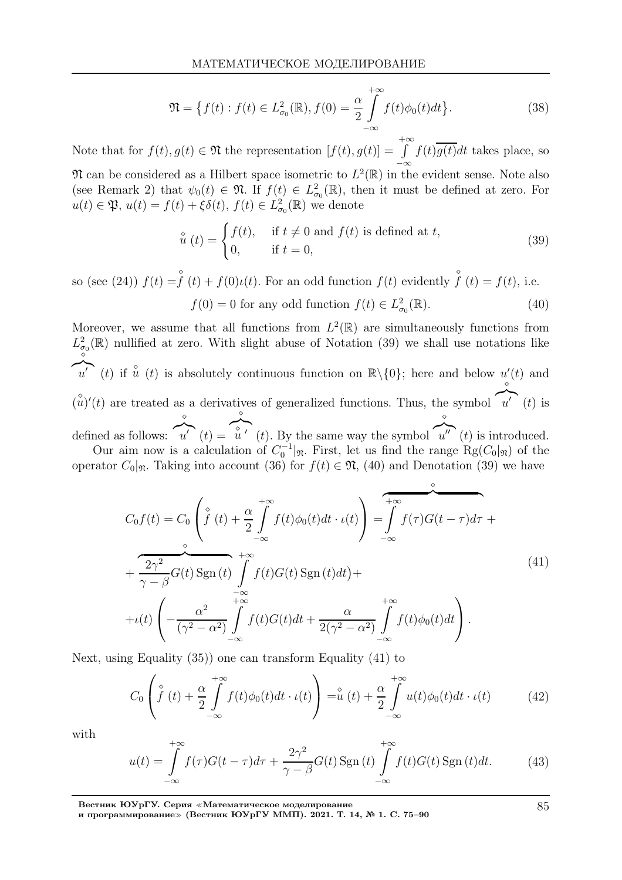$$
\mathfrak{N} = \left\{ f(t) : f(t) \in L^2_{\sigma_0}(\mathbb{R}), f(0) = \frac{\alpha}{2} \int\limits_{-\infty}^{+\infty} f(t) \phi_0(t) dt \right\}.
$$
 (38)

Note that for  $f(t), g(t) \in \mathfrak{N}$  the representation  $[f(t), g(t)] =$  $\int_{a}^{+\infty} f(t) \overline{g(t)} dt$  takes place, so  $\mathfrak{N}$  can be considered as a Hilbert space isometric to  $L^2(\mathbb{R})$  in the evident sense. Note also

(see Remark 2) that  $\psi_0(t) \in \mathfrak{N}$ . If  $f(t) \in L^2_{\sigma_0}(\mathbb{R})$ , then it must be defined at zero. For  $u(t) \in \mathfrak{P}, u(t) = f(t) + \xi \delta(t), f(t) \in L^2_{\sigma_0}(\mathbb{R})$  we denote

$$
\hat{u}(t) = \begin{cases} f(t), & \text{if } t \neq 0 \text{ and } f(t) \text{ is defined at } t, \\ 0, & \text{if } t = 0, \end{cases}
$$
 (39)

so (see (24))  $f(t) = \int_0^{\infty} (t) + f(0)t(t)$ . For an odd function  $f(t)$  evidently  $\int_0^{\infty} (t) = f(t)$ , i.e.  $f(0) = 0$  for any odd function  $f(t) \in L^2_{\sigma_0}(\mathbb{R})$ . (40)

Moreover, we assume that all functions from  $L^2(\mathbb{R})$  are simultaneously functions from  $L^2_{\sigma_0}(\mathbb{R})$  nullified at zero. With slight abuse of Notation (39) we shall use notations like  $\overrightarrow{u}'$  (t) if  $\hat{u}$  (t) is absolutely continuous function on  $\mathbb{R}\setminus\{0\}$ ; here and below  $u'(t)$  and  $({\hat{u}})'(t)$  are treated as a derivatives of generalized functions. Thus, the symbol  $\widetilde{u'}(t)$  is ⋄ defined as follows:  $\sum_{u'}^{\infty}$  (t) =  $\sum_{u}^{\infty}$  (t). By the same way the symbol  $\overbrace{u''}(t)$  is introduced. Our aim now is a calculation of  $C_0^{-1}|\mathfrak{m}$ . First, let us find the range Rg( $C_0|\mathfrak{m}$ ) of the

operator  $C_0|_{\mathfrak{N}}$ . Taking into account (36) for  $f(t) \in \mathfrak{N}$ , (40) and Denotation (39) we have

$$
C_0 f(t) = C_0 \left( \int_0^{\infty} f(t) + \frac{\alpha}{2} \int_{-\infty}^{+\infty} f(t) \phi_0(t) dt \cdot \iota(t) \right) = \int_{-\infty}^{\infty} f(\tau) G(t - \tau) d\tau + \frac{2\gamma^2}{\gamma - \beta} G(t) \operatorname{Sgn}(t) \int_{-\infty}^{+\infty} f(t) G(t) \operatorname{Sgn}(t) dt + \frac{2\gamma}{\gamma - \beta} \int_{-\infty}^{+\infty} f(t) G(t) dt + \frac{\alpha}{2(\gamma^2 - \alpha^2)} \int_{-\infty}^{+\infty} f(t) \phi_0(t) dt \right).
$$
\n(41)

Next, using Equality (35)) one can transform Equality (41) to

$$
C_0 \left( \overset{\diamond}{f}(t) + \frac{\alpha}{2} \int\limits_{-\infty}^{+\infty} f(t) \phi_0(t) dt \cdot \iota(t) \right) = \overset{\diamond}{u}(t) + \frac{\alpha}{2} \int\limits_{-\infty}^{+\infty} u(t) \phi_0(t) dt \cdot \iota(t) \tag{42}
$$

with

$$
u(t) = \int_{-\infty}^{+\infty} f(\tau)G(t-\tau)d\tau + \frac{2\gamma^2}{\gamma - \beta}G(t)\operatorname{Sgn}(t)\int_{-\infty}^{+\infty} f(t)G(t)\operatorname{Sgn}(t)dt.
$$
 (43)

Вестник ЮУрГУ. Серия <sup>≪</sup>Математическое моделирование

и программирование<sup>≫</sup> (Вестник ЮУрГУ ММП). 2021. Т. 14, № 1. С. 75–90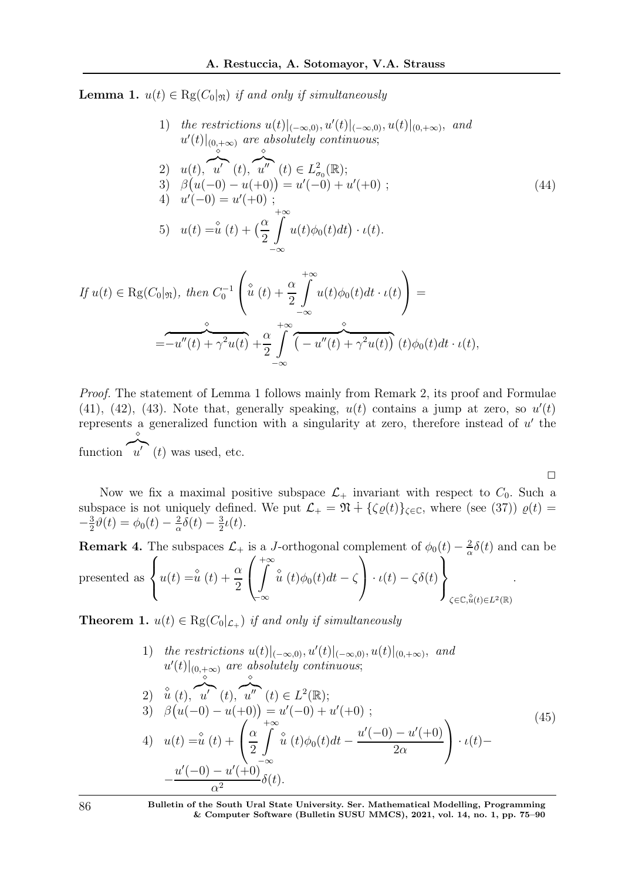**Lemma 1.**  $u(t) \in \text{Rg}(C_0|\mathfrak{y})$  if and only if simultaneously

1) the restrictions 
$$
u(t)|_{(-\infty,0)}, u'(t)|_{(-\infty,0)}, u(t)|_{(0,+\infty)}
$$
, and  
\n $u'(t)|_{(0,+\infty)}$  are absolutely continuous;  
\n2)  $u(t), \quad u'(t), \quad u''(t) \in L^2_{\sigma_0}(\mathbb{R});$   
\n3)  $\beta(u(-0) - u(+0)) = u'(-0) + u'(+0);$   
\n4)  $u'(-0) = u'(+0);$   
\n5)  $u(t) = \mathbf{u}(t) + \left(\frac{\alpha}{2} \int_{-\infty}^{+\infty} u(t)\phi_0(t)dt\right) \cdot \iota(t).$   
\n $g(C_0|\mathfrak{n}),$  then  $C_0^{-1}\left(\mathbf{u}(t) + \frac{\alpha}{2}\int_{-\infty}^{+\infty} u(t)\phi_0(t)dt \cdot \iota(t)\right) =$ 

$$
If \, u(t) \in \text{Rg}(C_0|\mathfrak{M}), \, then \, C_0^{-1} \left( \check{u}(t) + \frac{\check{\alpha}}{2} \int \limits_{-\infty} u(t)\phi_0(t)dt \cdot \iota(t) \right) =
$$
\n
$$
= -u''(t) + \gamma^2 u(t) + \frac{\alpha}{2} \int \limits_{-\infty}^{+\infty} \overbrace{\left( -u''(t) + \gamma^2 u(t) \right)}^{\check{\alpha}}(t)\phi_0(t)dt \cdot \iota(t),
$$

Proof. The statement of Lemma 1 follows mainly from Remark 2, its proof and Formulae  $(41)$ ,  $(42)$ ,  $(43)$ . Note that, generally speaking,  $u(t)$  contains a jump at zero, so  $u'(t)$ represents a generalized function with a singularity at zero, therefore instead of  $u'$  the function  $\widehat{u'}(t)$  was used, etc. ⋄

Now we fix a maximal positive subspace  $\mathcal{L}_+$  invariant with respect to  $C_0$ . Such a subspace is not uniquely defined. We put  $\mathcal{L}_+ = \mathfrak{N} + {\{\zeta \varrho(t)\}}_{\zeta \in \mathbb{C}}$ , where (see (37))  $\varrho(t) =$  $-\frac{3}{2}$  $\frac{3}{2}\theta(t) = \phi_0(t) - \frac{2}{\alpha}$  $\frac{2}{\alpha}\delta(t)-\frac{3}{2}$  $\frac{3}{2}\iota(t).$ 

 $\Box$ 

**Remark 4.** The subspaces 
$$
\mathcal{L}_+
$$
 is a *J*-orthogonal complement of  $\phi_0(t) - \frac{2}{\alpha}\delta(t)$  and can be presented as 
$$
\begin{cases} u(t) = \frac{\delta}{u}(t) + \frac{\alpha}{2} \left( \int_{-\infty}^{+\infty} \hat{u}(t)\phi_0(t)dt - \zeta \right) \cdot \iota(t) - \zeta\delta(t) \end{cases}
$$
.

**Theorem 1.**  $u(t) \in \text{Rg}(C_0|_{\mathcal{L}_+})$  if and only if simultaneously

1) the restrictions 
$$
u(t)|_{(-\infty,0)}, u'(t)|_{(-\infty,0)}, u(t)|_{(0,+\infty)}
$$
, and  
\n $u'(t)|_{(0,+\infty)}$  are absolutely continuous;  
\n2)  $\hat{u}(t), \hat{u}'(t), \hat{u}''(t) \in L^2(\mathbb{R})$ ;  
\n3)  $\beta(u(-0) - u(+0)) = u'(-0) + u'(+0)$ ;  
\n4)  $u(t) = \hat{u}(t) + \left(\frac{\alpha}{2} \int_{-\infty}^{+\infty} \hat{u}(t)\phi_0(t)dt - \frac{u'(-0) - u'(+0)}{2\alpha}\right) \cdot \iota(t) -$   
\n $-\frac{u'(-0) - u'(+0)}{\alpha^2} \delta(t).$  (45)

86 Bulletin of the South Ural State University. Ser. Mathematical Modelling, Programming & Computer Software (Bulletin SUSU MMCS), 2021, vol. 14, no. 1, pp. 75–90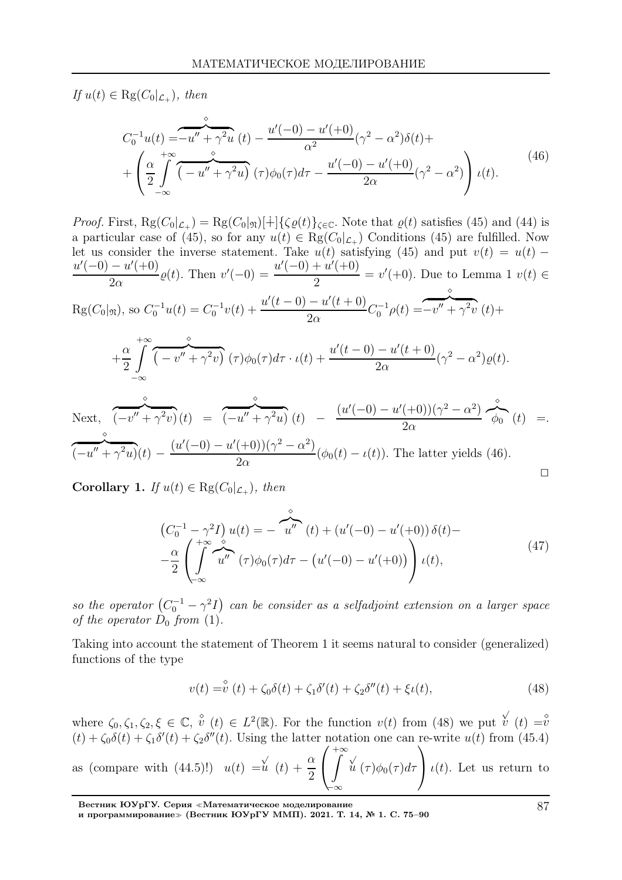If  $u(t) \in \text{Rg}(C_0|_{\mathcal{L}_+})$ , then

$$
C_0^{-1}u(t) = -u'' + \gamma^2 u(t) - \frac{u'(-0) - u'(+0)}{\alpha^2}(\gamma^2 - \alpha^2)\delta(t) +
$$
  
+ 
$$
\left(\frac{\alpha}{2}\int_{-\infty}^{+\infty} \overbrace{\left(-u'' + \gamma^2 u\right)}^{\infty}(\tau)\phi_0(\tau)d\tau - \frac{u'(-0) - u'(+0)}{2\alpha}(\gamma^2 - \alpha^2)\right)u(t).
$$
 (46)

Proof. First,  $\text{Rg}(C_0|_{\mathcal{L}_+}) = \text{Rg}(C_0|\mathfrak{m})[+]\{\zeta \varrho(t)\}_{{\zeta \in \mathbb{C}}}.$  Note that  $\varrho(t)$  satisfies (45) and (44) is a particular case of (45), so for any  $u(t) \in \text{Rg}(C_0|_{\mathcal{L}_+})$  Conditions (45) are fulfilled. Now let us consider the inverse statement. Take  $u(t)$  satisfying (45) and put  $v(t) = u(t)$  $u'(-0) - u'(+0)$  $2\alpha$  $\varrho(t)$ . Then  $v'(-0) = \frac{u'(-0) + u'(0)}{2}$ 2  $= v'(+0)$ . Due to Lemma 1  $v(t) \in$  $\text{Rg}(C_0|\mathfrak{m})$ , so  $C_0^{-1}u(t) = C_0^{-1}v(t) + \frac{u'(t-0) - u'(t+0)}{2\alpha}$  $2\alpha$  $C_0^{-1}\rho(t) =$  $\overbrace{-v'' + \gamma^2 v(t)}^{\circ}$ 

$$
+\frac{\alpha}{2}\int_{-\infty}^{+\infty}\overbrace{\left(-v''+\gamma^2v\right)}^{\diamond}(\tau)\phi_0(\tau)d\tau\cdot\iota(t)+\frac{u'(t-0)-u'(t+0)}{2\alpha}(\gamma^2-\alpha^2)\varrho(t).
$$

Next,  $\overbrace{(-v'' + \gamma^2 v)}^{\circ}(t) =$  $\overbrace{(-u'' + \gamma^2 u)}^{\circ}(t)$  –  $(u'(-0) - u'(+0))(\gamma^2 - \alpha^2)$  $2\alpha$  $\oint_0^{\infty} (t) =$  $\frac{\partial}{\partial (u'' + \gamma^2 u)}(t) - \frac{(u'(-0) - u'(+0))(\gamma^2 - \alpha^2)}{2\alpha}$  $\frac{(\ell+1)(\ell+1)(\ell+1)}{2\alpha}(\phi_0(t)-\iota(t)).$  The latter yields (46).  $\Box$ 

**Corollary 1.** If  $u(t) \in \text{Rg}(C_0|_{\mathcal{L}_+})$ , then

$$
\begin{aligned}\n\left(C_0^{-1} - \gamma^2 I\right) u(t) &= -\mathbf{u''} \quad (t) + \left(u'(-0) - u'(+0)\right) \delta(t) - \\
-\frac{\alpha}{2} \left(\int_{-\infty}^{+\infty} u'' \quad (\tau) \phi_0(\tau) d\tau - \left(u'(-0) - u'(+0)\right)\right) u(t),\n\end{aligned} \tag{47}
$$

so the operator  $(C_0^{-1} - \gamma^2 I)$  can be consider as a selfadjoint extension on a larger space of the operator  $D_0$  from (1).

Taking into account the statement of Theorem 1 it seems natural to consider (generalized) functions of the type

$$
v(t) = \hat{v}(t) + \zeta_0 \delta(t) + \zeta_1 \delta'(t) + \zeta_2 \delta''(t) + \xi_2(t),
$$
\n(48)

where  $\zeta_0, \zeta_1, \zeta_2, \xi \in \mathbb{C}, \, \overset{\diamond}{v}(t) \in L^2(\mathbb{R})$ . For the function  $v(t)$  from (48) we put  $\overset{\diamond}{v}(t) = \overset{\diamond}{v}(t)$  $(t) + \zeta_0 \delta(t) + \zeta_1 \delta'(t) + \zeta_2 \delta''(t)$ . Using the latter notation one can re-write  $u(t)$  from (45.4) as (compare with  $(44.5)!$ )  $u(t) =$  $\frac{\alpha}{u}(t) + \frac{\alpha}{2}$ 2  $\sqrt{ }$  $\mathbf{I}$  $+\infty$ −∞  $\check{u}(\tau)\phi_0(\tau)d\tau$  $\setminus$ |  $\iota(t)$ . Let us return to

Вестник ЮУрГУ. Серия <sup>≪</sup>Математическое моделирование

и программирование<sup>≫</sup> (Вестник ЮУрГУ ММП). 2021. Т. 14, № 1. С. 75–90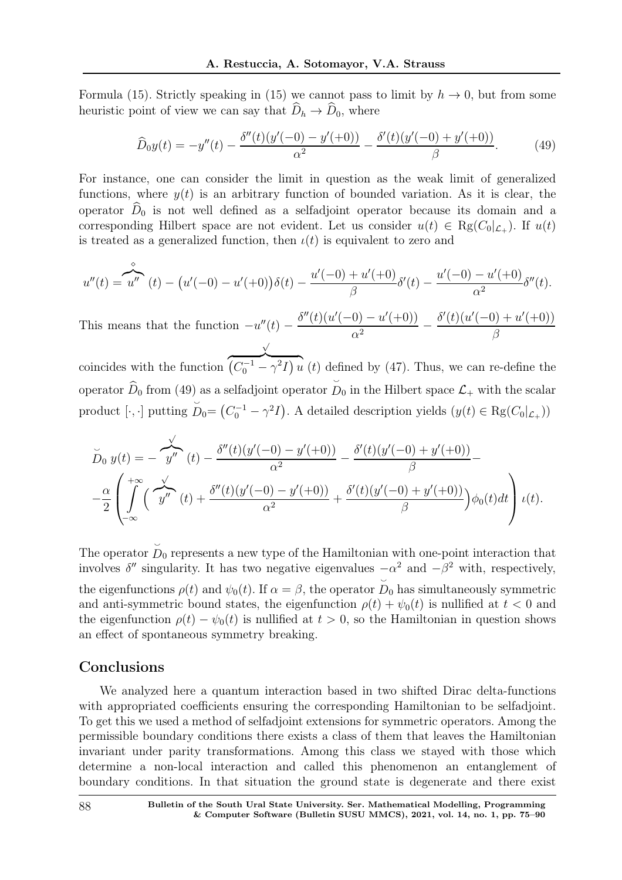Formula (15). Strictly speaking in (15) we cannot pass to limit by  $h \to 0$ , but from some heuristic point of view we can say that  $\widehat{D}_h \to \widehat{D}_0$ , where

$$
\widehat{D}_0 y(t) = -y''(t) - \frac{\delta''(t)(y'(-0) - y'(+0))}{\alpha^2} - \frac{\delta'(t)(y'(-0) + y'(+0))}{\beta}.
$$
\n(49)

For instance, one can consider the limit in question as the weak limit of generalized functions, where  $y(t)$  is an arbitrary function of bounded variation. As it is clear, the operator  $\hat{D}_0$  is not well defined as a selfadjoint operator because its domain and a corresponding Hilbert space are not evident. Let us consider  $u(t) \in \text{Rg}(C_0|_{\mathcal{L}_+})$ . If  $u(t)$ is treated as a generalized function, then  $\iota(t)$  is equivalent to zero and

$$
u''(t) = u''(t) - (u'(-0) - u'(+0))\delta(t) - \frac{u'(-0) + u'(+0)}{\beta}\delta'(t) - \frac{u'(-0) - u'(+0)}{\alpha^2}\delta''(t).
$$

This means that the function  $-u''(t)$  –  $\delta''(t)(u'(-0) - u'(+0))$  $\overline{\alpha^2}$  –  $\delta'(t)(u'(-0) + u'(+0))$  $\alpha^2$  β

coincides with the function  $\overline{\left(C_0^{-1} - \gamma^2 I\right) u}$  (*t*) defined by (47). Thus, we can re-define the operator  $D_0$  from (49) as a selfadjoint operator  $\cup$  $D_0$  in the Hilbert space  $\mathcal{L}_+$  with the scalar product [·, ·] putting  $\ddot{\phantom{0}}$  $D_0 = (C_0^{-1} - \gamma^2 I)$ . A detailed description yields  $(y(t) \in \text{Rg}(C_0|_{\mathcal{L}_+}))$ 

$$
\widetilde{D}_0 y(t) = -\frac{\sqrt{y''}}{y''}(t) - \frac{\delta''(t)(y'(-0) - y'(-0))}{\alpha^2} - \frac{\delta'(t)(y'(-0) + y'(-0))}{\beta} - \frac{\alpha}{2} \left( \int_{-\infty}^{+\infty} \left( \int_{-\infty}^{\infty} \left( \int_{-\infty}^{\infty} (t) \frac{\delta''(t)(y'(-0) - y'(-0))}{\alpha^2} + \frac{\delta'(t)(y'(-0) + y'(-0))}{\beta} \right) \phi_0(t) dt \right) t(t).
$$

The operator  $\stackrel{\smile}{D}_0$  represents a new type of the Hamiltonian with one-point interaction that involves  $\delta''$  singularity. It has two negative eigenvalues  $-\alpha^2$  and  $-\beta^2$  with, respectively, the eigenfunctions  $\rho(t)$  and  $\psi_0(t)$ . If  $\alpha = \beta$ , the operator  $\ddot{\phantom{0}}$  $D_0$  has simultaneously symmetric and anti-symmetric bound states, the eigenfunction  $\rho(t) + \psi_0(t)$  is nullified at  $t < 0$  and the eigenfunction  $\rho(t) - \psi_0(t)$  is nullified at  $t > 0$ , so the Hamiltonian in question shows an effect of spontaneous symmetry breaking.

## Conclusions

We analyzed here a quantum interaction based in two shifted Dirac delta-functions with appropriated coefficients ensuring the corresponding Hamiltonian to be selfadjoint. To get this we used a method of selfadjoint extensions for symmetric operators. Among the permissible boundary conditions there exists a class of them that leaves the Hamiltonian invariant under parity transformations. Among this class we stayed with those which determine a non-local interaction and called this phenomenon an entanglement of boundary conditions. In that situation the ground state is degenerate and there exist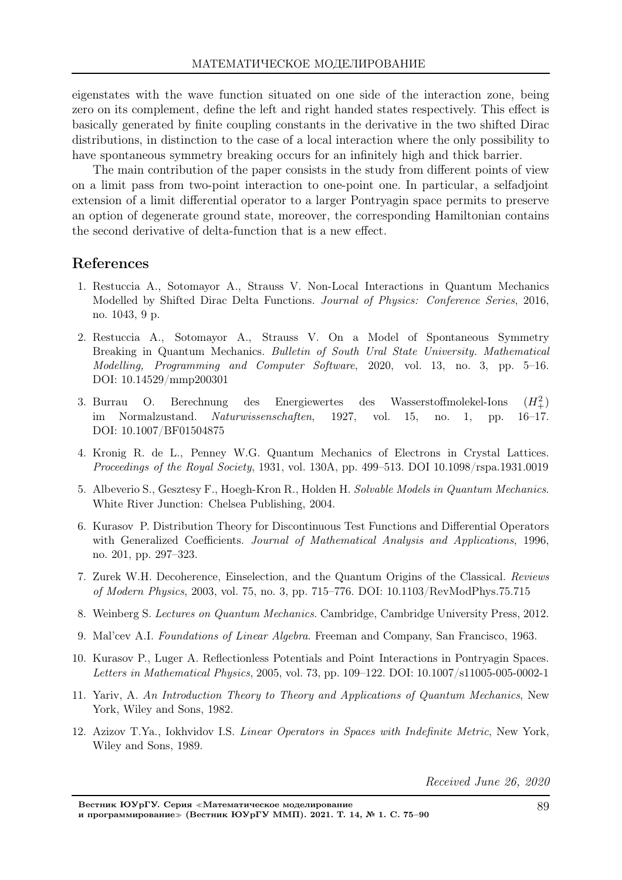eigenstates with the wave function situated on one side of the interaction zone, being zero on its complement, define the left and right handed states respectively. This effect is basically generated by finite coupling constants in the derivative in the two shifted Dirac distributions, in distinction to the case of a local interaction where the only possibility to have spontaneous symmetry breaking occurs for an infinitely high and thick barrier.

The main contribution of the paper consists in the study from different points of view on a limit pass from two-point interaction to one-point one. In particular, a selfadjoint extension of a limit differential operator to a larger Pontryagin space permits to preserve an option of degenerate ground state, moreover, the corresponding Hamiltonian contains the second derivative of delta-function that is a new effect.

## References

- 1. Restuccia A., Sotomayor A., Strauss V. Non-Local Interactions in Quantum Mechanics Modelled by Shifted Dirac Delta Functions. *Journal of Physics: Conference Series*, 2016, no. 1043, 9 p.
- 2. Restuccia A., Sotomayor A., Strauss V. On a Model of Spontaneous Symmetry Breaking in Quantum Mechanics. *Bulletin of South Ural State University. Mathematical Modelling, Programming and Computer Software*, 2020, vol. 13, no. 3, pp. 5–16. DOI: 10.14529/mmp200301
- 3. Burrau O. Berechnung des Energiewertes des Wasserstoffmolekel-Ions  $\frac{(H_+^2)}{16-17}$ im Normalzustand. *Naturwissenschaften*, 1927, vol. 15, no. 1, pp. DOI: 10.1007/BF01504875
- 4. Kronig R. de L., Penney W.G. Quantum Mechanics of Electrons in Crystal Lattices. *Proceedings of the Royal Society*, 1931, vol. 130A, pp. 499–513. DOI 10.1098/rspa.1931.0019
- 5. Albeverio S., Gesztesy F., Hoegh-Kron R., Holden H. *Solvable Models in Quantum Mechanics*. White River Junction: Chelsea Publishing, 2004.
- 6. Kurasov P. Distribution Theory for Discontinuous Test Functions and Differential Operators with Generalized Coefficients. *Journal of Mathematical Analysis and Applications*, 1996, no. 201, pp. 297–323.
- 7. Zurek W.H. Decoherence, Einselection, and the Quantum Origins of the Classical. *Reviews of Modern Physics*, 2003, vol. 75, no. 3, pp. 715–776. DOI: 10.1103/RevModPhys.75.715
- 8. Weinberg S. *Lectures on Quantum Mechanics*. Cambridge, Cambridge University Press, 2012.
- 9. Mal'cev A.I. *Foundations of Linear Algebra*. Freeman and Company, San Francisco, 1963.
- 10. Kurasov P., Luger A. Reflectionless Potentials and Point Interactions in Pontryagin Spaces. *Letters in Mathematical Physics*, 2005, vol. 73, pp. 109–122. DOI: 10.1007/s11005-005-0002-1
- 11. Yariv, A. *An Introduction Theory to Theory and Applications of Quantum Mechanics*, New York, Wiley and Sons, 1982.
- 12. Azizov T.Ya., Iokhvidov I.S. *Linear Operators in Spaces with Indefinite Metric*, New York, Wiley and Sons, 1989.

Received June 26, 2020

Вестник ЮУрГУ. Серия <sup>≪</sup>Математическое моделирование и программирование≫ (Вестник ЮУрГУ ММП). 2021. Т. 14, № 1. С. 75–90